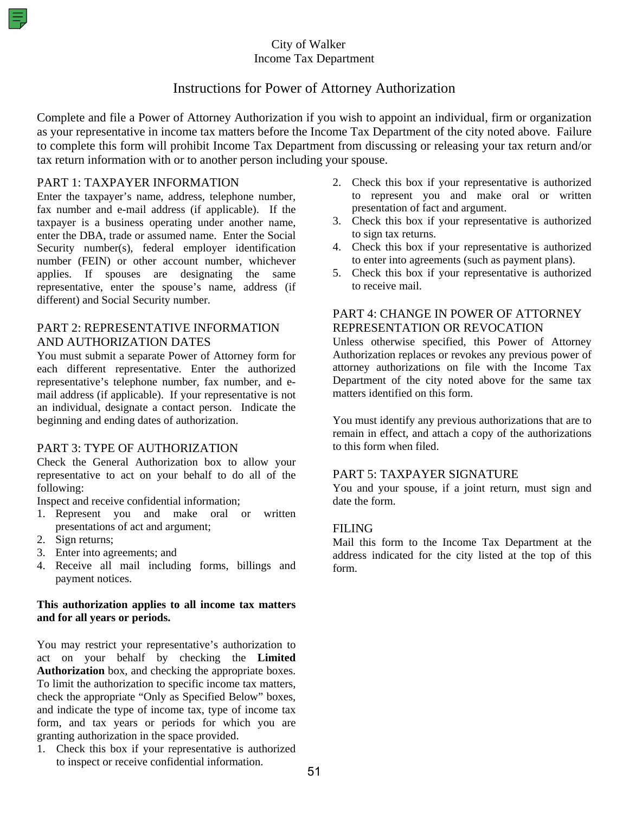## City of Walker Income Tax Department

# Instructions for Power of Attorney Authorization

Complete and file a Power of Attorney Authorization if you wish to appoint an individual, firm or organization as your representative in income tax matters before the Income Tax Department of the city noted above. Failure to complete this form will prohibit Income Tax Department from discussing or releasing your tax return and/or tax return information with or to another person including your spouse.

#### PART 1: TAXPAYER INFORMATION

Enter the taxpayer's name, address, telephone number, fax number and e-mail address (if applicable). If the taxpayer is a business operating under another name, enter the DBA, trade or assumed name. Enter the Social Security number(s), federal employer identification number (FEIN) or other account number, whichever applies. If spouses are designating the same representative, enter the spouse's name, address (if different) and Social Security number.

## PART 2: REPRESENTATIVE INFORMATION AND AUTHORIZATION DATES

You must submit a separate Power of Attorney form for each different representative. Enter the authorized representative's telephone number, fax number, and email address (if applicable). If your representative is not an individual, designate a contact person. Indicate the beginning and ending dates of authorization.

## PART 3: TYPE OF AUTHORIZATION

Check the General Authorization box to allow your representative to act on your behalf to do all of the following:

Inspect and receive confidential information;

- 1. Represent you and make oral or written presentations of act and argument;
- 2. Sign returns;
- 3. Enter into agreements; and
- 4. Receive all mail including forms, billings and payment notices.

#### **This authorization applies to all income tax matters and for all years or periods.**

You may restrict your representative's authorization to act on your behalf by checking the **Limited Authorization** box, and checking the appropriate boxes. To limit the authorization to specific income tax matters, check the appropriate "Only as Specified Below" boxes, and indicate the type of income tax, type of income tax form, and tax years or periods for which you are granting authorization in the space provided.

1. Check this box if your representative is authorized to inspect or receive confidential information.

- 2. Check this box if your representative is authorized to represent you and make oral or written presentation of fact and argument.
- 3. Check this box if your representative is authorized to sign tax returns.
- 4. Check this box if your representative is authorized to enter into agreements (such as payment plans).
- 5. Check this box if your representative is authorized to receive mail.

## PART 4: CHANGE IN POWER OF ATTORNEY REPRESENTATION OR REVOCATION

Unless otherwise specified, this Power of Attorney Authorization replaces or revokes any previous power of attorney authorizations on file with the Income Tax Department of the city noted above for the same tax matters identified on this form.

You must identify any previous authorizations that are to remain in effect, and attach a copy of the authorizations to this form when filed.

#### PART 5: TAXPAYER SIGNATURE

You and your spouse, if a joint return, must sign and date the form.

#### FILING

Mail this form to the Income Tax Department at the address indicated for the city listed at the top of this form.